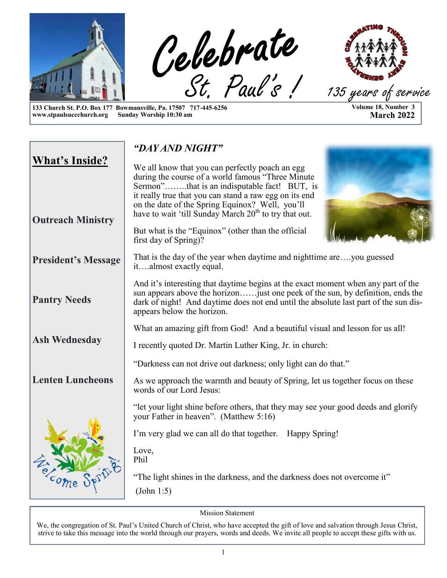

**Volume 18, Number 3 March 2022**

**133 Church St. P.O. Box 177 Bowmansville, Pa. 17507 717-445-6256 www.stpaulsuccchurch.org Sunday Worship 10:30 am**

|                                                   | "DAY AND NIGHT"                                                                                                                                                                                                                                                                                                                        |  |  |  |
|---------------------------------------------------|----------------------------------------------------------------------------------------------------------------------------------------------------------------------------------------------------------------------------------------------------------------------------------------------------------------------------------------|--|--|--|
| <b>What's Inside?</b><br><b>Outreach Ministry</b> | We all know that you can perfectly poach an egg<br>during the course of a world famous "Three Minute<br>Sermon"that is an indisputable fact! BUT, is<br>it really true that you can stand a raw egg on its end<br>on the date of the Spring Equinox? Well, you'll<br>have to wait 'till Sunday March 20 <sup>th</sup> to try that out. |  |  |  |
|                                                   | But what is the "Equinox" (other than the official<br>first day of Spring)?                                                                                                                                                                                                                                                            |  |  |  |
| <b>President's Message</b>                        | That is the day of the year when daytime and nighttime areyou guessed<br>italmost exactly equal.                                                                                                                                                                                                                                       |  |  |  |
| <b>Pantry Needs</b>                               | And it's interesting that daytime begins at the exact moment when any part of the<br>sun appears above the horizonjust one peek of the sun, by definition, ends the<br>dark of night! And daytime does not end until the absolute last part of the sun dis-<br>appears below the horizon.                                              |  |  |  |
|                                                   | What an amazing gift from God! And a beautiful visual and lesson for us all!                                                                                                                                                                                                                                                           |  |  |  |
| <b>Ash Wednesday</b>                              | I recently quoted Dr. Martin Luther King, Jr. in church:                                                                                                                                                                                                                                                                               |  |  |  |
|                                                   | "Darkness can not drive out darkness; only light can do that."                                                                                                                                                                                                                                                                         |  |  |  |
| <b>Lenten Luncheons</b>                           | As we approach the warmth and beauty of Spring, let us together focus on these<br>words of our Lord Jesus:                                                                                                                                                                                                                             |  |  |  |
|                                                   | "let your light shine before others, that they may see your good deeds and glorify<br>your Father in heaven". (Matthew 5:16)                                                                                                                                                                                                           |  |  |  |
|                                                   | I'm very glad we can all do that together.<br>Happy Spring!                                                                                                                                                                                                                                                                            |  |  |  |
|                                                   | Love,<br>Phil                                                                                                                                                                                                                                                                                                                          |  |  |  |
| etcome                                            | "The light shines in the darkness, and the darkness does not overcome it"                                                                                                                                                                                                                                                              |  |  |  |
|                                                   | (John 1:5)                                                                                                                                                                                                                                                                                                                             |  |  |  |

Mission Statement

We, the congregation of St. Paul's United Church of Christ, who have accepted the gift of love and salvation through Jesus Christ, strive to take this message into the world through our prayers, words and deeds. We invite all people to accept these gifts with us.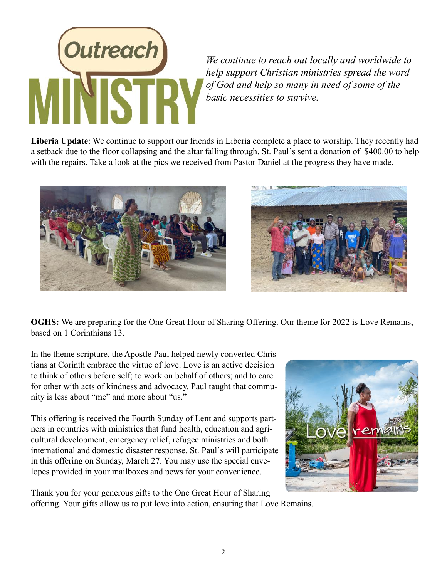

*We continue to reach out locally and worldwide to help support Christian ministries spread the word of God and help so many in need of some of the basic necessities to survive.*

**Liberia Update**: We continue to support our friends in Liberia complete a place to worship. They recently had a setback due to the floor collapsing and the altar falling through. St. Paul's sent a donation of \$400.00 to help with the repairs. Take a look at the pics we received from Pastor Daniel at the progress they have made.





**OGHS:** We are preparing for the One Great Hour of Sharing Offering. Our theme for 2022 is Love Remains, based on 1 Corinthians 13.

In the theme scripture, the Apostle Paul helped newly converted Christians at Corinth embrace the virtue of love. Love is an active decision to think of others before self; to work on behalf of others; and to care for other with acts of kindness and advocacy. Paul taught that community is less about "me" and more about "us."

This offering is received the Fourth Sunday of Lent and supports partners in countries with ministries that fund health, education and agricultural development, emergency relief, refugee ministries and both international and domestic disaster response. St. Paul's will participate in this offering on Sunday, March 27. You may use the special envelopes provided in your mailboxes and pews for your convenience.

Thank you for your generous gifts to the One Great Hour of Sharing offering. Your gifts allow us to put love into action, ensuring that Love Remains.

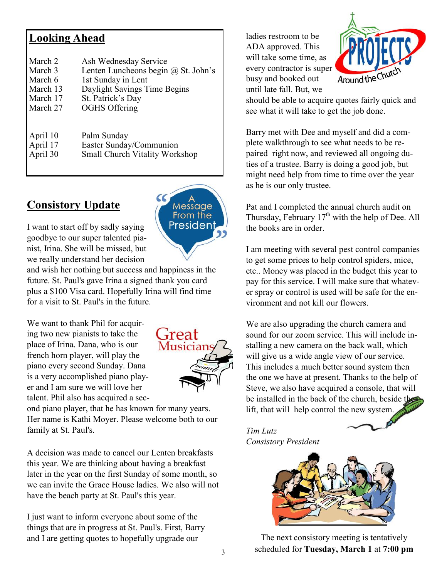#### **Looking Ahead**

| March 2  | Ash Wednesday Service                 |
|----------|---------------------------------------|
| March 3  | Lenten Luncheons begin @ St. John's   |
| March 6  | 1st Sunday in Lent                    |
| March 13 | Daylight Savings Time Begins          |
| March 17 | St. Patrick's Day                     |
| March 27 | <b>OGHS Offering</b>                  |
| April 10 | Palm Sunday                           |
| April 17 | Easter Sunday/Communion               |
| April 30 | <b>Small Church Vitality Workshop</b> |

#### **Consistory Update**



I want to start off by sadly saying goodbye to our super talented pianist, Irina. She will be missed, but we really understand her decision

and wish her nothing but success and happiness in the future. St. Paul's gave Irina a signed thank you card plus a \$100 Visa card. Hopefully Irina will find time for a visit to St. Paul's in the future.

We want to thank Phil for acquiring two new pianists to take the place of Irina. Dana, who is our french horn player, will play the piano every second Sunday. Dana is a very accomplished piano player and I am sure we will love her talent. Phil also has acquired a sec-



ond piano player, that he has known for many years. Her name is Kathi Moyer. Please welcome both to our family at St. Paul's.

A decision was made to cancel our Lenten breakfasts this year. We are thinking about having a breakfast later in the year on the first Sunday of some month, so we can invite the Grace House ladies. We also will not have the beach party at St. Paul's this year.

I just want to inform everyone about some of the things that are in progress at St. Paul's. First, Barry and I are getting quotes to hopefully upgrade our

ladies restroom to be ADA approved. This will take some time, as every contractor is super busy and booked out until late fall. But, we



should be able to acquire quotes fairly quick and see what it will take to get the job done.

Barry met with Dee and myself and did a complete walkthrough to see what needs to be repaired right now, and reviewed all ongoing duties of a trustee. Barry is doing a good job, but might need help from time to time over the year as he is our only trustee.

Pat and I completed the annual church audit on Thursday, February  $17<sup>th</sup>$  with the help of Dee. All the books are in order.

I am meeting with several pest control companies to get some prices to help control spiders, mice, etc.. Money was placed in the budget this year to pay for this service. I will make sure that whatever spray or control is used will be safe for the environment and not kill our flowers.

We are also upgrading the church camera and sound for our zoom service. This will include installing a new camera on the back wall, which will give us a wide angle view of our service. This includes a much better sound system then the one we have at present. Thanks to the help of Steve, we also have acquired a console, that will be installed in the back of the church, beside the lift, that will help control the new system.

#### *Tim Lutz Consistory President*



The next consistory meeting is tentatively scheduled for **Tuesday, March 1** at **7:00 pm**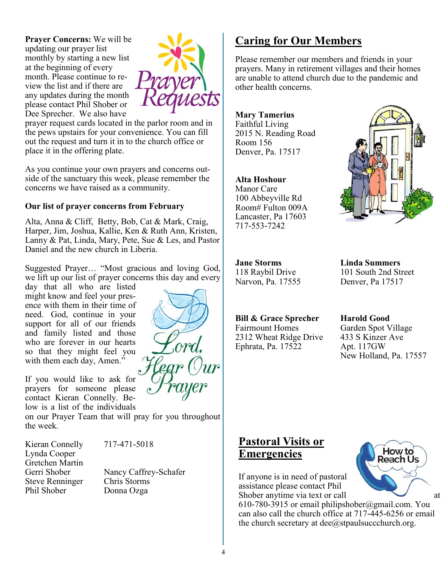**Prayer Concerns:** We will be updating our prayer list monthly by starting a new list at the beginning of every month. Please continue to review the list and if there are any updates during the month please contact Phil Shober or Dee Sprecher. We also have



prayer request cards located in the parlor room and in the pews upstairs for your convenience. You can fill out the request and turn it in to the church office or place it in the offering plate.

As you continue your own prayers and concerns outside of the sanctuary this week, please remember the concerns we have raised as a community.

#### **Our list of prayer concerns from February**

Alta, Anna & Cliff, Betty, Bob, Cat & Mark, Craig, Harper, Jim, Joshua, Kallie, Ken & Ruth Ann, Kristen, Lanny & Pat, Linda, Mary, Pete, Sue & Les, and Pastor Daniel and the new church in Liberia.

Suggested Prayer… "Most gracious and loving God, we lift up our list of prayer concerns this day and every

day that all who are listed might know and feel your presence with them in their time of need. God, continue in your support for all of our friends and family listed and those who are forever in our hearts so that they might feel you with them each day, Amen."

If you would like to ask for prayers for someone please contact Kieran Connelly. Below is a list of the individuals

on our Prayer Team that will pray for you throughout the week.

Kieran Connelly 717-471-5018 Lynda Cooper Gretchen Martin Steve Renninger Chris Storms Phil Shober Donna Ozga

Gerri Shober Nancy Caffrey-Schafer

#### **Caring for Our Members**

Please remember our members and friends in your prayers. Many in retirement villages and their homes are unable to attend church due to the pandemic and other health concerns.

**Mary Tamerius** Faithful Living 2015 N. Reading Road Room 156 Denver, Pa. 17517

#### **Alta Hoshour**

Manor Care 100 Abbeyville Rd Room# Fulton 009A Lancaster, Pa 17603 717-553-7242



**Jane Storms Linda Summers**

118 Raybil Drive 101 South 2nd Street Narvon, Pa. 17555 Denver, Pa 17517

#### **Bill & Grace Sprecher Harold Good**

Fairmount Homes Garden Spot Village 2312 Wheat Ridge Drive 433 S Kinzer Ave Ephrata, Pa. 17522 Apt. 117GW

New Holland, Pa. 17557

#### **Pastoral Visits or Emergencies**

If anyone is in need of pastoral assistance please contact Phil Shober anytime via text or call at

610-780-3915 or email philipshober@gmail.com. You can also call the church office at 717-445-6256 or email the church secretary at  $\text{dee}(\hat{a})$ stpaulsuccchurch.org.

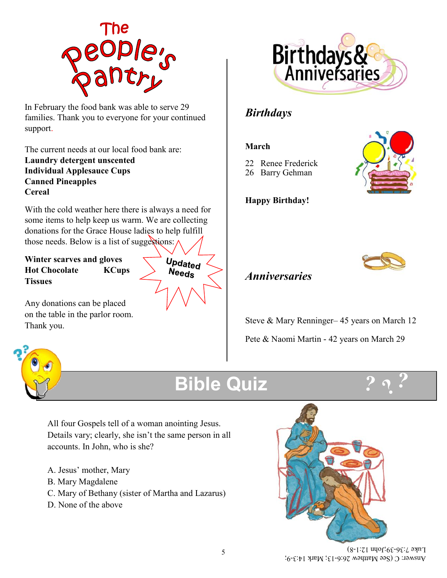

In February the food bank was able to serve 29 families. Thank you to everyone for your continued support.

The current needs at our local food bank are: **Laundry detergent unscented Individual Applesauce Cups Canned Pineapples Cereal**

With the cold weather here there is always a need for some items to help keep us warm. We are collecting donations for the Grace House ladies to help fulfill those needs. Below is a list of suggestions:

**Winter scarves and gloves Hot Chocolate KCups Tissues**

Any donations can be placed on the table in the parlor room. Thank you.





#### *Birthdays*

#### **March**

- 22 Renee Frederick
- 26 Barry Gehman



**Happy Birthday!**



#### *Anniversaries*

Steve & Mary Renninger– 45 years on March 12 Pete & Naomi Martin - 42 years on March 29



### **Bible Quiz**



All four Gospels tell of a woman anointing Jesus. Details vary; clearly, she isn't the same person in all accounts. In John, who is she?

- A. Jesus' mother, Mary
- B. Mary Magdalene
- C. Mary of Bethany (sister of Martha and Lazarus)
- D. None of the above



Answer: C (See Matthew 26:6-13; Mark 14:3-9;  $28-36$ ;John 12:1-8)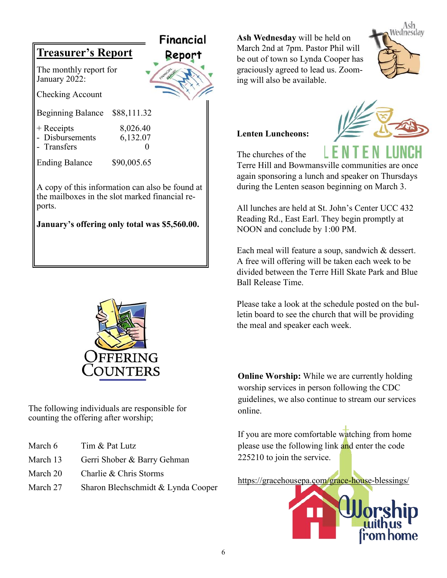



The following individuals are responsible for counting the offering after worship;

- March 6 Tim & Pat Lutz
- March 13 Gerri Shober & Barry Gehman
- March 20 Charlie & Chris Storms
- March 27 Sharon Blechschmidt & Lynda Cooper

**Ash Wednesday** will be held on March 2nd at 7pm. Pastor Phil will be out of town so Lynda Cooper has graciously agreed to lead us. Zooming will also be available.



#### **Lenten Luncheons:**



The churches of the

Terre Hill and Bowmansville communities are once again sponsoring a lunch and speaker on Thursdays during the Lenten season beginning on March 3.

All lunches are held at St. John's Center UCC 432 Reading Rd., East Earl. They begin promptly at NOON and conclude by 1:00 PM.

Each meal will feature a soup, sandwich & dessert. A free will offering will be taken each week to be divided between the Terre Hill Skate Park and Blue Ball Release Time.

Please take a look at the schedule posted on the bulletin board to see the church that will be providing the meal and speaker each week.

**Online Worship:** While we are currently holding worship services in person following the CDC guidelines, we also continue to stream our services online.

If you are more comfortable watching from home please use the following link and enter the code 225210 to join the service.

<https://gracehousepa.com/grace-house-blessings/>

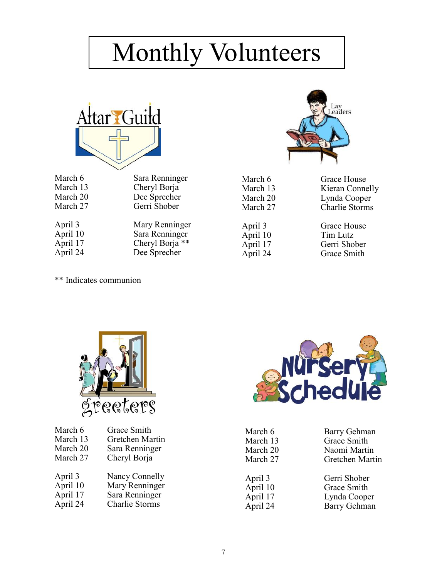## Monthly Volunteers



| ivialuit u | Jaia Kummigu    |
|------------|-----------------|
| March 13   | Cheryl Borja    |
| March 20   | Dee Sprecher    |
| March 27   | Gerri Shober    |
| April 3    | Mary Renninger  |
| April 10   | Sara Renninger  |
| April 17   | Cheryl Borja ** |

April 24 Dee Sprecher

\*\* Indicates communion



March 6 Grace House March 13 Kieran Connelly March 20 Lynda Cooper March 27 Charlie Storms

April 3 Grace House April 10 Tim Lutz<br>April 17 Gerri Sho April 17 Gerri Shober<br>
April 24 Grace Smith **Grace Smith** 



| March 6  | Grace Smith     |
|----------|-----------------|
| March 13 | Gretchen Martin |
| March 20 | Sara Renninger  |
| March 27 | Cheryl Borja    |
|          |                 |
| April 3  | Nancy Connelly  |
| April 10 | Mary Renninger  |
| April 17 | Sara Renninger  |
| April 24 | Charlie Storms  |



| March 6<br>March 13<br>March 20<br>March 27 |  |
|---------------------------------------------|--|
| April 3<br>April 10<br>April 17<br>April 24 |  |

Barry Gehman Grace Smith Naomi Martin Gretchen Martin

Gerri Shober Grace Smith Lynda Cooper Barry Gehman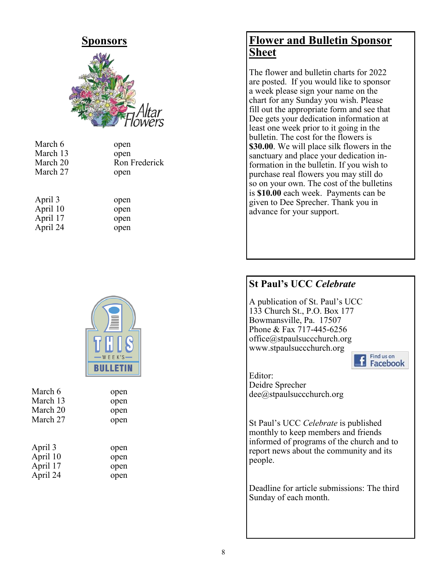

| March 6  | open          |  |  |
|----------|---------------|--|--|
| March 13 | open          |  |  |
| March 20 | Ron Frederick |  |  |
| March 27 | open          |  |  |
|          |               |  |  |

| April 3  | open |
|----------|------|
| April 10 | open |
| April 17 | open |
| April 24 | open |



| March 6  | open |  |  |
|----------|------|--|--|
| March 13 | open |  |  |
| March 20 | open |  |  |
| March 27 | open |  |  |
| April 3  | open |  |  |
| April 10 | open |  |  |
| April 17 | open |  |  |
| April 24 | open |  |  |

#### **Flower and Bulletin Sponsor Sheet**

The flower and bulletin charts for 2022 are posted. If you would like to sponsor a week please sign your name on the chart for any Sunday you wish. Please fill out the appropriate form and see that Dee gets your dedication information at least one week prior to it going in the bulletin. The cost for the flowers is **\$30.00**. We will place silk flowers in the sanctuary and place your dedication information in the bulletin. If you wish to purchase real flowers you may still do so on your own. The cost of the bulletins is **\$10.00** each week. Payments can be given to Dee Sprecher. Thank you in advance for your support.

#### **St Paul's UCC** *Celebrate*

A publication of St. Paul's UCC 133 Church St., P.O. Box 177 Bowmansville, Pa. 17507 Phone & Fax 717-445-6256 office@stpaulsuccchurch.org www.stpaulsuccchurch.org



Editor: Deidre Sprecher dee@stpaulsuccchurch.org

St Paul's UCC *Celebrate* is published monthly to keep members and friends informed of programs of the church and to report news about the community and its people.

Deadline for article submissions: The third Sunday of each month.